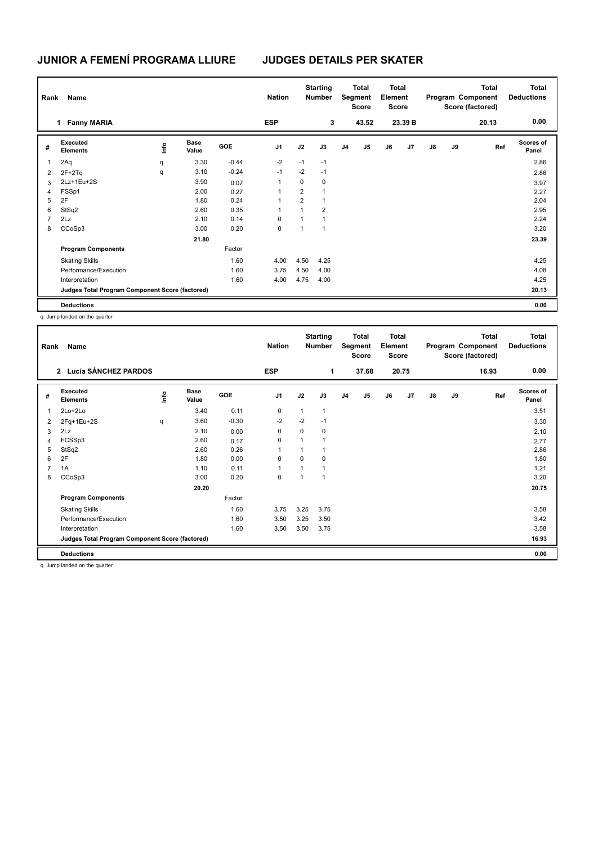## **JUNIOR A FEMENÍ PROGRAMA LLIURE JUDGES DETAILS PER SKATER**

| Rank           | Name                                            |      |                      |         | <b>Nation</b>  |                | <b>Starting</b><br><b>Number</b> |                | Total<br>Segment<br><b>Score</b> |    | Total<br>Element<br><b>Score</b> |               |    | <b>Total</b><br>Program Component<br>Score (factored) | Total<br><b>Deductions</b> |
|----------------|-------------------------------------------------|------|----------------------|---------|----------------|----------------|----------------------------------|----------------|----------------------------------|----|----------------------------------|---------------|----|-------------------------------------------------------|----------------------------|
|                | <b>Fanny MARIA</b><br>1                         |      |                      |         | <b>ESP</b>     |                | 3                                |                | 43.52                            |    | 23.39 B                          |               |    | 20.13                                                 | 0.00                       |
| #              | Executed<br><b>Elements</b>                     | lnfo | <b>Base</b><br>Value | GOE     | J <sub>1</sub> | J2             | J3                               | J <sub>4</sub> | J <sub>5</sub>                   | J6 | J7                               | $\mathsf{J}8$ | J9 | Ref                                                   | Scores of<br>Panel         |
| 1              | 2Aq                                             | q    | 3.30                 | $-0.44$ | $-2$           | $-1$           | $-1$                             |                |                                  |    |                                  |               |    |                                                       | 2.86                       |
| $\overline{2}$ | $2F+2Tq$                                        | q    | 3.10                 | $-0.24$ | $-1$           | $-2$           | $-1$                             |                |                                  |    |                                  |               |    |                                                       | 2.86                       |
| 3              | 2Lz+1Eu+2S                                      |      | 3.90                 | 0.07    | 1              | 0              | $\mathbf 0$                      |                |                                  |    |                                  |               |    |                                                       | 3.97                       |
| $\overline{4}$ | FSSp1                                           |      | 2.00                 | 0.27    | 1              | 2              | $\mathbf{1}$                     |                |                                  |    |                                  |               |    |                                                       | 2.27                       |
| 5              | 2F                                              |      | 1.80                 | 0.24    | 1              | $\overline{2}$ | $\mathbf{1}$                     |                |                                  |    |                                  |               |    |                                                       | 2.04                       |
| 6              | StSq2                                           |      | 2.60                 | 0.35    | 1              | $\overline{1}$ | $\overline{2}$                   |                |                                  |    |                                  |               |    |                                                       | 2.95                       |
| $\overline{7}$ | 2Lz                                             |      | 2.10                 | 0.14    | 0              | 1              | $\overline{1}$                   |                |                                  |    |                                  |               |    |                                                       | 2.24                       |
| 8              | CCoSp3                                          |      | 3.00                 | 0.20    | 0              | 1              | $\overline{1}$                   |                |                                  |    |                                  |               |    |                                                       | 3.20                       |
|                |                                                 |      | 21.80                |         |                |                |                                  |                |                                  |    |                                  |               |    |                                                       | 23.39                      |
|                | <b>Program Components</b>                       |      |                      | Factor  |                |                |                                  |                |                                  |    |                                  |               |    |                                                       |                            |
|                | <b>Skating Skills</b>                           |      |                      | 1.60    | 4.00           | 4.50           | 4.25                             |                |                                  |    |                                  |               |    |                                                       | 4.25                       |
|                | Performance/Execution                           |      |                      | 1.60    | 3.75           | 4.50           | 4.00                             |                |                                  |    |                                  |               |    |                                                       | 4.08                       |
|                | Interpretation                                  |      |                      | 1.60    | 4.00           | 4.75           | 4.00                             |                |                                  |    |                                  |               |    |                                                       | 4.25                       |
|                | Judges Total Program Component Score (factored) |      |                      |         |                |                |                                  |                |                                  |    |                                  |               |    |                                                       | 20.13                      |
|                | <b>Deductions</b>                               |      |                      |         |                |                |                                  |                |                                  |    |                                  |               |    |                                                       | 0.00                       |

q Jump landed on the quarter

| Rank           | Name                                            |      |                      |            | <b>Nation</b>  |      | <b>Starting</b><br><b>Number</b> |                | Total<br>Segment<br><b>Score</b> |    | <b>Total</b><br>Element<br><b>Score</b> |    |    | <b>Total</b><br>Program Component<br>Score (factored) | <b>Total</b><br><b>Deductions</b> |
|----------------|-------------------------------------------------|------|----------------------|------------|----------------|------|----------------------------------|----------------|----------------------------------|----|-----------------------------------------|----|----|-------------------------------------------------------|-----------------------------------|
|                | 2 Lucía SÁNCHEZ PARDOS                          |      |                      |            | <b>ESP</b>     |      | 1                                |                | 37.68                            |    | 20.75                                   |    |    | 16.93                                                 | 0.00                              |
| #              | Executed<br><b>Elements</b>                     | ١nf٥ | <b>Base</b><br>Value | <b>GOE</b> | J <sub>1</sub> | J2   | J3                               | J <sub>4</sub> | J <sub>5</sub>                   | J6 | J7                                      | J8 | J9 | Ref                                                   | <b>Scores of</b><br>Panel         |
| 1              | $2Lo+2Lo$                                       |      | 3.40                 | 0.11       | 0              | 1    | 1                                |                |                                  |    |                                         |    |    |                                                       | 3.51                              |
| 2              | 2Fq+1Eu+2S                                      | q    | 3.60                 | $-0.30$    | $-2$           | $-2$ | $-1$                             |                |                                  |    |                                         |    |    |                                                       | 3.30                              |
| 3              | 2Lz                                             |      | 2.10                 | 0.00       | 0              | 0    | 0                                |                |                                  |    |                                         |    |    |                                                       | 2.10                              |
| 4              | FCSSp3                                          |      | 2.60                 | 0.17       | 0              | 1    | 1                                |                |                                  |    |                                         |    |    |                                                       | 2.77                              |
| 5              | StSq2                                           |      | 2.60                 | 0.26       | 1              | 1    |                                  |                |                                  |    |                                         |    |    |                                                       | 2.86                              |
| 6              | 2F                                              |      | 1.80                 | 0.00       | 0              | 0    | 0                                |                |                                  |    |                                         |    |    |                                                       | 1.80                              |
| $\overline{7}$ | 1A                                              |      | 1.10                 | 0.11       | $\mathbf{1}$   | 1    |                                  |                |                                  |    |                                         |    |    |                                                       | 1.21                              |
| 8              | CCoSp3                                          |      | 3.00                 | 0.20       | 0              | 1    | 1                                |                |                                  |    |                                         |    |    |                                                       | 3.20                              |
|                |                                                 |      | 20.20                |            |                |      |                                  |                |                                  |    |                                         |    |    |                                                       | 20.75                             |
|                | <b>Program Components</b>                       |      |                      | Factor     |                |      |                                  |                |                                  |    |                                         |    |    |                                                       |                                   |
|                | <b>Skating Skills</b>                           |      |                      | 1.60       | 3.75           | 3.25 | 3.75                             |                |                                  |    |                                         |    |    |                                                       | 3.58                              |
|                | Performance/Execution                           |      |                      | 1.60       | 3.50           | 3.25 | 3.50                             |                |                                  |    |                                         |    |    |                                                       | 3.42                              |
|                | Interpretation                                  |      |                      | 1.60       | 3.50           | 3.50 | 3.75                             |                |                                  |    |                                         |    |    |                                                       | 3.58                              |
|                | Judges Total Program Component Score (factored) |      |                      |            |                |      |                                  |                |                                  |    |                                         |    |    |                                                       | 16.93                             |
|                | <b>Deductions</b>                               |      |                      |            |                |      |                                  |                |                                  |    |                                         |    |    |                                                       | 0.00                              |

q Jump landed on the quarter

 $\mathbf l$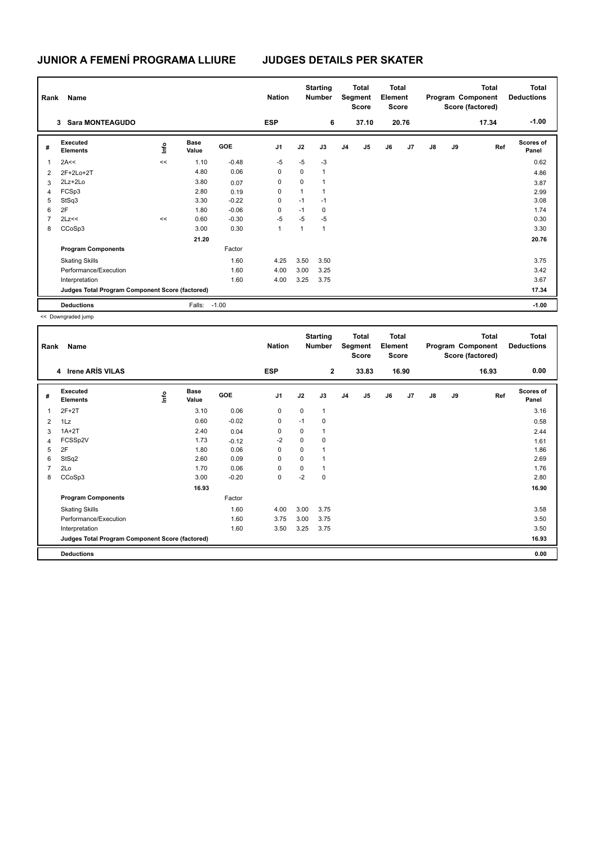## **JUNIOR A FEMENÍ PROGRAMA LLIURE JUDGES DETAILS PER SKATER**

| Name<br>Rank            |                                                 |      |                      |            | <b>Nation</b>  |                | <b>Starting</b><br><b>Number</b> |                | <b>Total</b><br>Segment<br><b>Score</b> |    | Total<br>Element<br>Score |    |    | <b>Total</b><br>Program Component<br>Score (factored) | <b>Total</b><br><b>Deductions</b> |
|-------------------------|-------------------------------------------------|------|----------------------|------------|----------------|----------------|----------------------------------|----------------|-----------------------------------------|----|---------------------------|----|----|-------------------------------------------------------|-----------------------------------|
|                         | <b>Sara MONTEAGUDO</b><br>3                     |      |                      |            | <b>ESP</b>     |                | 6                                |                | 37.10                                   |    | 20.76                     |    |    | 17.34                                                 | $-1.00$                           |
| #                       | Executed<br><b>Elements</b>                     | lnfo | <b>Base</b><br>Value | <b>GOE</b> | J <sub>1</sub> | J2             | J3                               | J <sub>4</sub> | J <sub>5</sub>                          | J6 | J7                        | J8 | J9 | Ref                                                   | <b>Scores of</b><br>Panel         |
| $\overline{\mathbf{1}}$ | 2A<<                                            | <<   | 1.10                 | $-0.48$    | $-5$           | $-5$           | $-3$                             |                |                                         |    |                           |    |    |                                                       | 0.62                              |
| $\overline{2}$          | 2F+2Lo+2T                                       |      | 4.80                 | 0.06       | 0              | 0              | $\mathbf{1}$                     |                |                                         |    |                           |    |    |                                                       | 4.86                              |
| 3                       | 2Lz+2Lo                                         |      | 3.80                 | 0.07       | 0              | 0              | $\overline{1}$                   |                |                                         |    |                           |    |    |                                                       | 3.87                              |
| 4                       | FCSp3                                           |      | 2.80                 | 0.19       | 0              | 1              | $\mathbf{1}$                     |                |                                         |    |                           |    |    |                                                       | 2.99                              |
| 5                       | StSq3                                           |      | 3.30                 | $-0.22$    | 0              | $-1$           | $-1$                             |                |                                         |    |                           |    |    |                                                       | 3.08                              |
| 6                       | 2F                                              |      | 1.80                 | $-0.06$    | 0              | $-1$           | 0                                |                |                                         |    |                           |    |    |                                                       | 1.74                              |
| $\overline{7}$          | 2Lz<<                                           | <<   | 0.60                 | $-0.30$    | $-5$           | $-5$           | $-5$                             |                |                                         |    |                           |    |    |                                                       | 0.30                              |
| 8                       | CCoSp3                                          |      | 3.00                 | 0.30       | 1              | $\overline{1}$ | $\mathbf{1}$                     |                |                                         |    |                           |    |    |                                                       | 3.30                              |
|                         |                                                 |      | 21.20                |            |                |                |                                  |                |                                         |    |                           |    |    |                                                       | 20.76                             |
|                         | <b>Program Components</b>                       |      |                      | Factor     |                |                |                                  |                |                                         |    |                           |    |    |                                                       |                                   |
|                         | <b>Skating Skills</b>                           |      |                      | 1.60       | 4.25           | 3.50           | 3.50                             |                |                                         |    |                           |    |    |                                                       | 3.75                              |
|                         | Performance/Execution                           |      |                      | 1.60       | 4.00           | 3.00           | 3.25                             |                |                                         |    |                           |    |    |                                                       | 3.42                              |
|                         | Interpretation                                  |      |                      | 1.60       | 4.00           | 3.25           | 3.75                             |                |                                         |    |                           |    |    |                                                       | 3.67                              |
|                         | Judges Total Program Component Score (factored) |      |                      |            |                |                |                                  |                |                                         |    |                           |    |    |                                                       | 17.34                             |
|                         | <b>Deductions</b>                               |      | Falls:               | $-1.00$    |                |                |                                  |                |                                         |    |                           |    |    |                                                       | $-1.00$                           |

<< Downgraded jump

| Rank           | Name                                            |      |                      |         | <b>Nation</b>  |             | <b>Starting</b><br><b>Number</b> |                | Total<br>Segment<br><b>Score</b> |    | <b>Total</b><br>Element<br><b>Score</b> |    |    | <b>Total</b><br>Program Component<br>Score (factored) | <b>Total</b><br><b>Deductions</b> |
|----------------|-------------------------------------------------|------|----------------------|---------|----------------|-------------|----------------------------------|----------------|----------------------------------|----|-----------------------------------------|----|----|-------------------------------------------------------|-----------------------------------|
|                | 4 Irene ARÍS VILAS                              |      |                      |         | <b>ESP</b>     |             | $\overline{2}$                   |                | 33.83                            |    | 16.90                                   |    |    | 16.93                                                 | 0.00                              |
| #              | <b>Executed</b><br><b>Elements</b>              | lnfo | <b>Base</b><br>Value | GOE     | J <sub>1</sub> | J2          | J3                               | J <sub>4</sub> | J <sub>5</sub>                   | J6 | J7                                      | J8 | J9 | Ref                                                   | <b>Scores of</b><br>Panel         |
| 1              | $2F+2T$                                         |      | 3.10                 | 0.06    | $\mathbf 0$    | $\mathbf 0$ | $\mathbf{1}$                     |                |                                  |    |                                         |    |    |                                                       | 3.16                              |
| 2              | 1Lz                                             |      | 0.60                 | $-0.02$ | 0              | $-1$        | 0                                |                |                                  |    |                                         |    |    |                                                       | 0.58                              |
| 3              | $1A+2T$                                         |      | 2.40                 | 0.04    | $\mathbf 0$    | $\Omega$    | 1                                |                |                                  |    |                                         |    |    |                                                       | 2.44                              |
| 4              | FCSSp2V                                         |      | 1.73                 | $-0.12$ | $-2$           | $\mathbf 0$ | 0                                |                |                                  |    |                                         |    |    |                                                       | 1.61                              |
| 5              | 2F                                              |      | 1.80                 | 0.06    | $\mathbf 0$    | $\mathbf 0$ |                                  |                |                                  |    |                                         |    |    |                                                       | 1.86                              |
| 6              | StSq2                                           |      | 2.60                 | 0.09    | $\mathbf 0$    | 0           |                                  |                |                                  |    |                                         |    |    |                                                       | 2.69                              |
| $\overline{7}$ | 2Lo                                             |      | 1.70                 | 0.06    | 0              | 0           | 1                                |                |                                  |    |                                         |    |    |                                                       | 1.76                              |
| 8              | CCoSp3                                          |      | 3.00                 | $-0.20$ | 0              | $-2$        | 0                                |                |                                  |    |                                         |    |    |                                                       | 2.80                              |
|                |                                                 |      | 16.93                |         |                |             |                                  |                |                                  |    |                                         |    |    |                                                       | 16.90                             |
|                | <b>Program Components</b>                       |      |                      | Factor  |                |             |                                  |                |                                  |    |                                         |    |    |                                                       |                                   |
|                | <b>Skating Skills</b>                           |      |                      | 1.60    | 4.00           | 3.00        | 3.75                             |                |                                  |    |                                         |    |    |                                                       | 3.58                              |
|                | Performance/Execution                           |      |                      | 1.60    | 3.75           | 3.00        | 3.75                             |                |                                  |    |                                         |    |    |                                                       | 3.50                              |
|                | Interpretation                                  |      |                      | 1.60    | 3.50           | 3.25        | 3.75                             |                |                                  |    |                                         |    |    |                                                       | 3.50                              |
|                | Judges Total Program Component Score (factored) |      |                      |         |                |             |                                  |                |                                  |    |                                         |    |    |                                                       | 16.93                             |
|                | <b>Deductions</b>                               |      |                      |         |                |             |                                  |                |                                  |    |                                         |    |    |                                                       | 0.00                              |